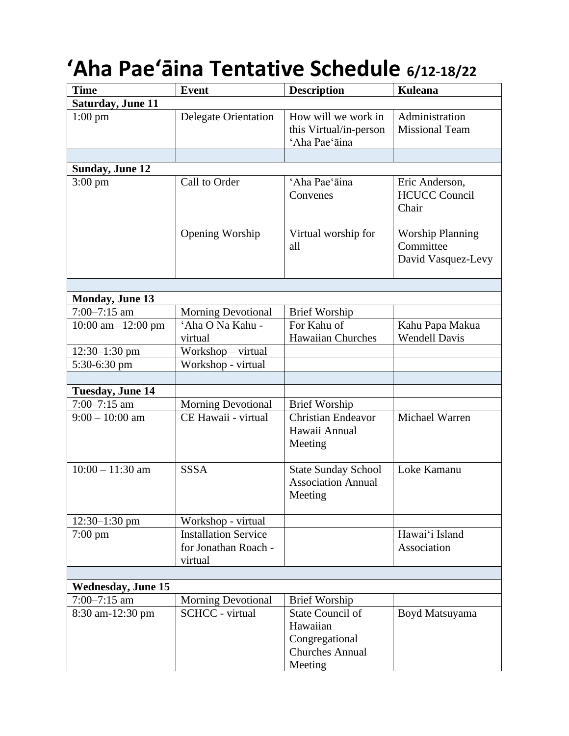## **'Aha Pae'āina Tentative Schedule 6/12-18/22**

| <b>Time</b>               | <b>Event</b>                                                   | <b>Description</b>                                                              | <b>Kuleana</b>                                             |
|---------------------------|----------------------------------------------------------------|---------------------------------------------------------------------------------|------------------------------------------------------------|
| Saturday, June 11         |                                                                |                                                                                 |                                                            |
| $1:00$ pm                 | <b>Delegate Orientation</b>                                    | How will we work in<br>this Virtual/in-person<br>'Aha Pae'āina                  | Administration<br><b>Missional Team</b>                    |
|                           |                                                                |                                                                                 |                                                            |
| <b>Sunday, June 12</b>    |                                                                |                                                                                 |                                                            |
| $3:00 \text{ pm}$         | Call to Order                                                  | 'Aha Pae'āina<br>Convenes                                                       | Eric Anderson,<br><b>HCUCC Council</b><br>Chair            |
|                           | Opening Worship                                                | Virtual worship for<br>all                                                      | <b>Worship Planning</b><br>Committee<br>David Vasquez-Levy |
|                           |                                                                |                                                                                 |                                                            |
| <b>Monday, June 13</b>    |                                                                |                                                                                 |                                                            |
| $7:00 - 7:15$ am          | <b>Morning Devotional</b>                                      | <b>Brief Worship</b>                                                            |                                                            |
| 10:00 am $-12:00$ pm      | 'Aha O Na Kahu -<br>virtual                                    | For Kahu of<br><b>Hawaiian Churches</b>                                         | Kahu Papa Makua<br><b>Wendell Davis</b>                    |
| $12:30-1:30$ pm           | Workshop – virtual                                             |                                                                                 |                                                            |
| 5:30-6:30 pm              | Workshop - virtual                                             |                                                                                 |                                                            |
|                           |                                                                |                                                                                 |                                                            |
| <b>Tuesday, June 14</b>   |                                                                |                                                                                 |                                                            |
| $7:00 - 7:15$ am          | <b>Morning Devotional</b>                                      | <b>Brief Worship</b>                                                            |                                                            |
| $9:00 - 10:00$ am         | CE Hawaii - virtual                                            | <b>Christian Endeavor</b><br>Hawaii Annual<br>Meeting                           | Michael Warren                                             |
| $10:00 - 11:30$ am        | <b>SSSA</b>                                                    | <b>State Sunday School</b><br><b>Association Annual</b><br>Meeting              | Loke Kamanu                                                |
| $12:30-1:30$ pm           | Workshop - virtual                                             |                                                                                 |                                                            |
| $7:00 \text{ pm}$         | <b>Installation Service</b><br>for Jonathan Roach -<br>virtual |                                                                                 | Hawai'i Island<br>Association                              |
|                           |                                                                |                                                                                 |                                                            |
| <b>Wednesday, June 15</b> |                                                                |                                                                                 |                                                            |
| $7:00 - 7:15$ am          | <b>Morning Devotional</b>                                      | <b>Brief Worship</b>                                                            |                                                            |
| 8:30 am-12:30 pm          | <b>SCHCC</b> - virtual                                         | <b>State Council of</b><br>Hawaiian<br>Congregational<br><b>Churches Annual</b> | Boyd Matsuyama                                             |
|                           |                                                                | Meeting                                                                         |                                                            |